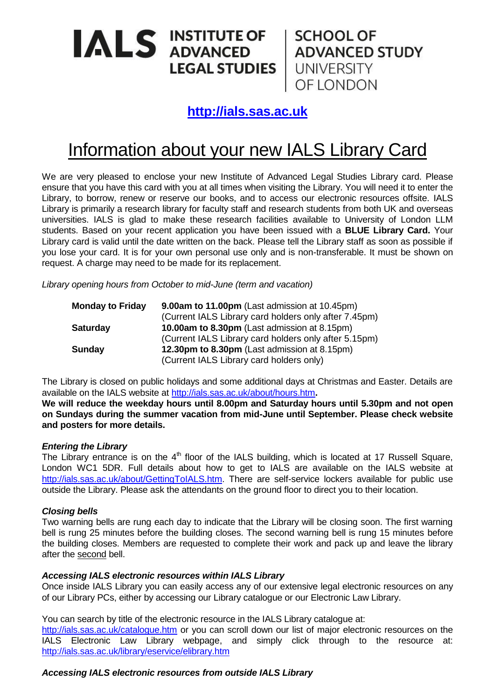# ALS INSTITUTE OF SCHOOL OF ADVANCED STUDY

OF LONDON

### **[http://ials.sas.ac.uk](http://ials.sas.ac.uk/)**

## Information about your new IALS Library Card

We are very pleased to enclose your new Institute of Advanced Legal Studies Library card. Please ensure that you have this card with you at all times when visiting the Library. You will need it to enter the Library, to borrow, renew or reserve our books, and to access our electronic resources offsite. IALS Library is primarily a research library for faculty staff and research students from both UK and overseas universities. IALS is glad to make these research facilities available to University of London LLM students. Based on your recent application you have been issued with a **BLUE Library Card.** Your Library card is valid until the date written on the back. Please tell the Library staff as soon as possible if you lose your card. It is for your own personal use only and is non-transferable. It must be shown on request. A charge may need to be made for its replacement.

*Library opening hours from October to mid-June (term and vacation)*

| <b>Monday to Friday</b> | 9.00am to 11.00pm (Last admission at 10.45pm)         |
|-------------------------|-------------------------------------------------------|
|                         | (Current IALS Library card holders only after 7.45pm) |
| <b>Saturday</b>         | <b>10.00am to 8.30pm</b> (Last admission at 8.15pm)   |
|                         | (Current IALS Library card holders only after 5.15pm) |
| <b>Sunday</b>           | 12.30pm to 8.30pm (Last admission at 8.15pm)          |
|                         | (Current IALS Library card holders only)              |

The Library is closed on public holidays and some additional days at Christmas and Easter. Details are available on the IALS website at<http://ials.sas.ac.uk/about/hours.htm>**.**

**We will reduce the weekday hours until 8.00pm and Saturday hours until 5.30pm and not open on Sundays during the summer vacation from mid-June until September. Please check website and posters for more details.**

#### *Entering the Library*

The Library entrance is on the 4<sup>th</sup> floor of the IALS building, which is located at 17 Russell Square, London WC1 5DR. Full details about how to get to IALS are available on the IALS website at [http://ials.sas.ac.uk/about/GettingToIALS.htm.](http://ials.sas.ac.uk/about/GettingToIALS.htm) There are self-service lockers available for public use outside the Library. Please ask the attendants on the ground floor to direct you to their location.

#### *Closing bells*

Two warning bells are rung each day to indicate that the Library will be closing soon. The first warning bell is rung 25 minutes before the building closes. The second warning bell is rung 15 minutes before the building closes. Members are requested to complete their work and pack up and leave the library after the second bell.

#### *Accessing IALS electronic resources within IALS Library*

Once inside IALS Library you can easily access any of our extensive legal electronic resources on any of our Library PCs, either by accessing our Library catalogue or our Electronic Law Library.

You can search by title of the electronic resource in the IALS Library catalogue at:

<http://ials.sas.ac.uk/catalogue.htm> or you can scroll down our list of major electronic resources on the IALS Electronic Law Library webpage, and simply click through to the resource at: <http://ials.sas.ac.uk/library/eservice/elibrary.htm>

#### *Accessing IALS electronic resources from outside IALS Library*